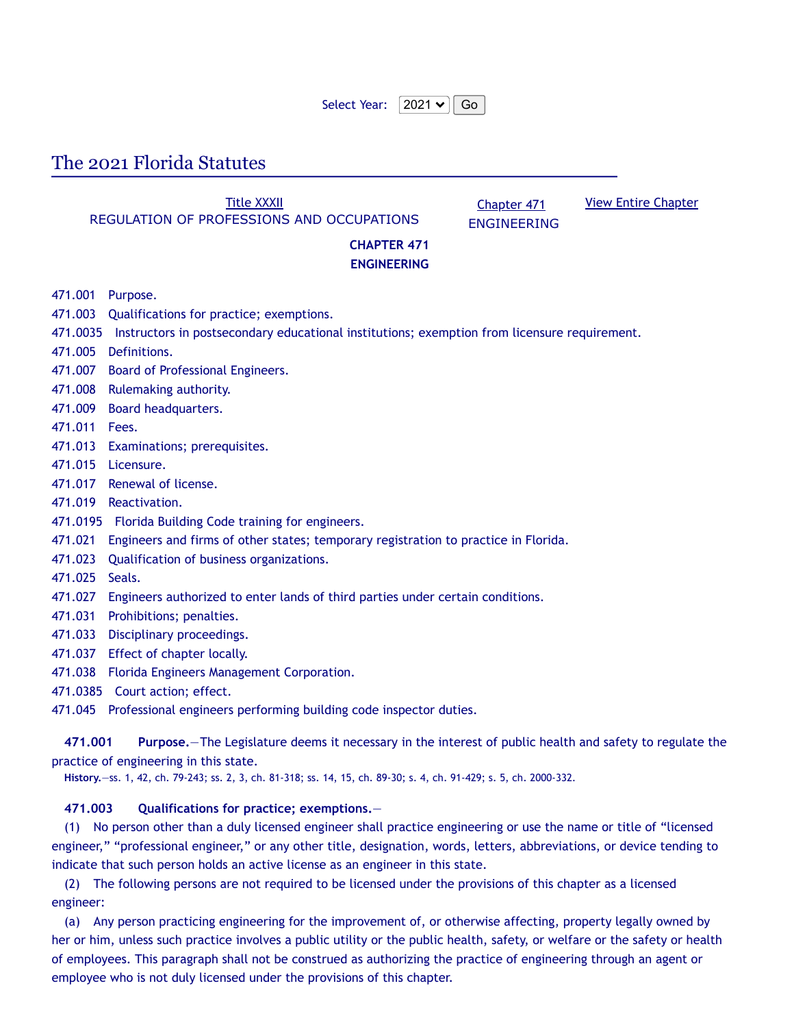| Select Year: $ 2021 \times  $ Go |  |  |
|----------------------------------|--|--|
|----------------------------------|--|--|

# The 2021 Florida Statutes

**Title [XXXII](http://www.leg.state.fl.us/Statutes/index.cfm?App_mode=Display_Index&Title_Request=XXXII#TitleXXXII)** REGULATION OF PROFESSIONS AND OCCUPATIONS

[Chapter](http://www.leg.state.fl.us/Statutes/index.cfm?App_mode=Display_Statute&URL=0400-0499/0471/0471ContentsIndex.html) 471 ENGINEERING View Entire [Chapter](http://www.leg.state.fl.us/Statutes/index.cfm?App_mode=Display_Statute&URL=0400-0499/0471/0471.html)

# **CHAPTER 471 ENGINEERING**

- 471.001 Purpose.
- 471.003 Qualifications for practice; exemptions.
- 471.0035 Instructors in postsecondary educational institutions; exemption from licensure requirement.
- 471.005 Definitions.
- 471.007 Board of Professional Engineers.
- 471.008 Rulemaking authority.
- 471.009 Board headquarters.
- 471.011 Fees.
- 471.013 Examinations; prerequisites.
- 471.015 Licensure.
- 471.017 Renewal of license.
- 471.019 Reactivation.
- 471.0195 Florida Building Code training for engineers.
- 471.021 Engineers and firms of other states; temporary registration to practice in Florida.
- 471.023 Qualification of business organizations.
- 471.025 Seals.
- 471.027 Engineers authorized to enter lands of third parties under certain conditions.
- 471.031 Prohibitions; penalties.
- 471.033 Disciplinary proceedings.
- 471.037 Effect of chapter locally.
- 471.038 Florida Engineers Management Corporation.
- 471.0385 Court action; effect.
- 471.045 Professional engineers performing building code inspector duties.

**471.001 Purpose.**—The Legislature deems it necessary in the interest of public health and safety to regulate the practice of engineering in this state.

**History.**—ss. 1, 42, ch. 79-243; ss. 2, 3, ch. 81-318; ss. 14, 15, ch. 89-30; s. 4, ch. 91-429; s. 5, ch. 2000-332.

## **471.003 Qualifications for practice; exemptions.**—

(1) No person other than a duly licensed engineer shall practice engineering or use the name or title of "licensed engineer," "professional engineer," or any other title, designation, words, letters, abbreviations, or device tending to indicate that such person holds an active license as an engineer in this state.

(2) The following persons are not required to be licensed under the provisions of this chapter as a licensed engineer:

(a) Any person practicing engineering for the improvement of, or otherwise affecting, property legally owned by her or him, unless such practice involves a public utility or the public health, safety, or welfare or the safety or health of employees. This paragraph shall not be construed as authorizing the practice of engineering through an agent or employee who is not duly licensed under the provisions of this chapter.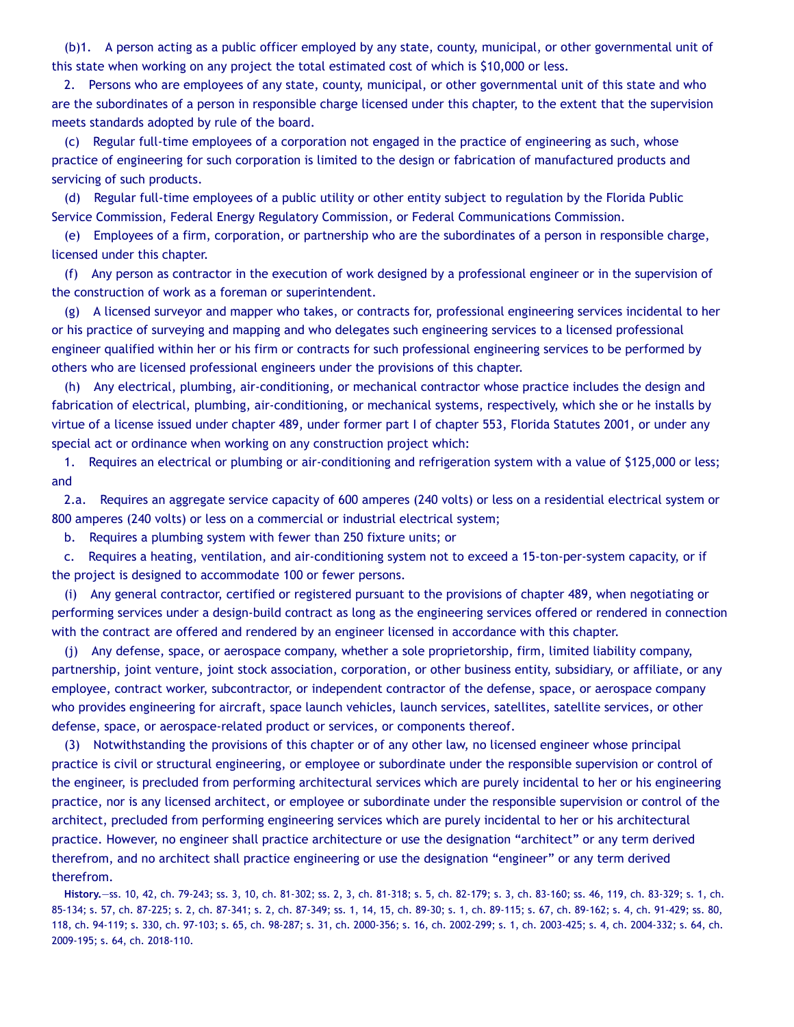(b)1. A person acting as a public officer employed by any state, county, municipal, or other governmental unit of this state when working on any project the total estimated cost of which is \$10,000 or less.

2. Persons who are employees of any state, county, municipal, or other governmental unit of this state and who are the subordinates of a person in responsible charge licensed under this chapter, to the extent that the supervision meets standards adopted by rule of the board.

(c) Regular full-time employees of a corporation not engaged in the practice of engineering as such, whose practice of engineering for such corporation is limited to the design or fabrication of manufactured products and servicing of such products.

(d) Regular full-time employees of a public utility or other entity subject to regulation by the Florida Public Service Commission, Federal Energy Regulatory Commission, or Federal Communications Commission.

(e) Employees of a firm, corporation, or partnership who are the subordinates of a person in responsible charge, licensed under this chapter.

(f) Any person as contractor in the execution of work designed by a professional engineer or in the supervision of the construction of work as a foreman or superintendent.

(g) A licensed surveyor and mapper who takes, or contracts for, professional engineering services incidental to her or his practice of surveying and mapping and who delegates such engineering services to a licensed professional engineer qualified within her or his firm or contracts for such professional engineering services to be performed by others who are licensed professional engineers under the provisions of this chapter.

(h) Any electrical, plumbing, air-conditioning, or mechanical contractor whose practice includes the design and fabrication of electrical, plumbing, air-conditioning, or mechanical systems, respectively, which she or he installs by virtue of a license issued under chapter 489, under former part I of chapter 553, Florida Statutes 2001, or under any special act or ordinance when working on any construction project which:

1. Requires an electrical or plumbing or air-conditioning and refrigeration system with a value of \$125,000 or less; and

2.a. Requires an aggregate service capacity of 600 amperes (240 volts) or less on a residential electrical system or 800 amperes (240 volts) or less on a commercial or industrial electrical system;

b. Requires a plumbing system with fewer than 250 fixture units; or

c. Requires a heating, ventilation, and air-conditioning system not to exceed a 15-ton-per-system capacity, or if the project is designed to accommodate 100 or fewer persons.

(i) Any general contractor, certified or registered pursuant to the provisions of chapter 489, when negotiating or performing services under a design-build contract as long as the engineering services offered or rendered in connection with the contract are offered and rendered by an engineer licensed in accordance with this chapter.

(j) Any defense, space, or aerospace company, whether a sole proprietorship, firm, limited liability company, partnership, joint venture, joint stock association, corporation, or other business entity, subsidiary, or affiliate, or any employee, contract worker, subcontractor, or independent contractor of the defense, space, or aerospace company who provides engineering for aircraft, space launch vehicles, launch services, satellites, satellite services, or other defense, space, or aerospace-related product or services, or components thereof.

(3) Notwithstanding the provisions of this chapter or of any other law, no licensed engineer whose principal practice is civil or structural engineering, or employee or subordinate under the responsible supervision or control of the engineer, is precluded from performing architectural services which are purely incidental to her or his engineering practice, nor is any licensed architect, or employee or subordinate under the responsible supervision or control of the architect, precluded from performing engineering services which are purely incidental to her or his architectural practice. However, no engineer shall practice architecture or use the designation "architect" or any term derived therefrom, and no architect shall practice engineering or use the designation "engineer" or any term derived therefrom.

**History.**—ss. 10, 42, ch. 79-243; ss. 3, 10, ch. 81-302; ss. 2, 3, ch. 81-318; s. 5, ch. 82-179; s. 3, ch. 83-160; ss. 46, 119, ch. 83-329; s. 1, ch. 85-134; s. 57, ch. 87-225; s. 2, ch. 87-341; s. 2, ch. 87-349; ss. 1, 14, 15, ch. 89-30; s. 1, ch. 89-115; s. 67, ch. 89-162; s. 4, ch. 91-429; ss. 80, 118, ch. 94-119; s. 330, ch. 97-103; s. 65, ch. 98-287; s. 31, ch. 2000-356; s. 16, ch. 2002-299; s. 1, ch. 2003-425; s. 4, ch. 2004-332; s. 64, ch. 2009-195; s. 64, ch. 2018-110.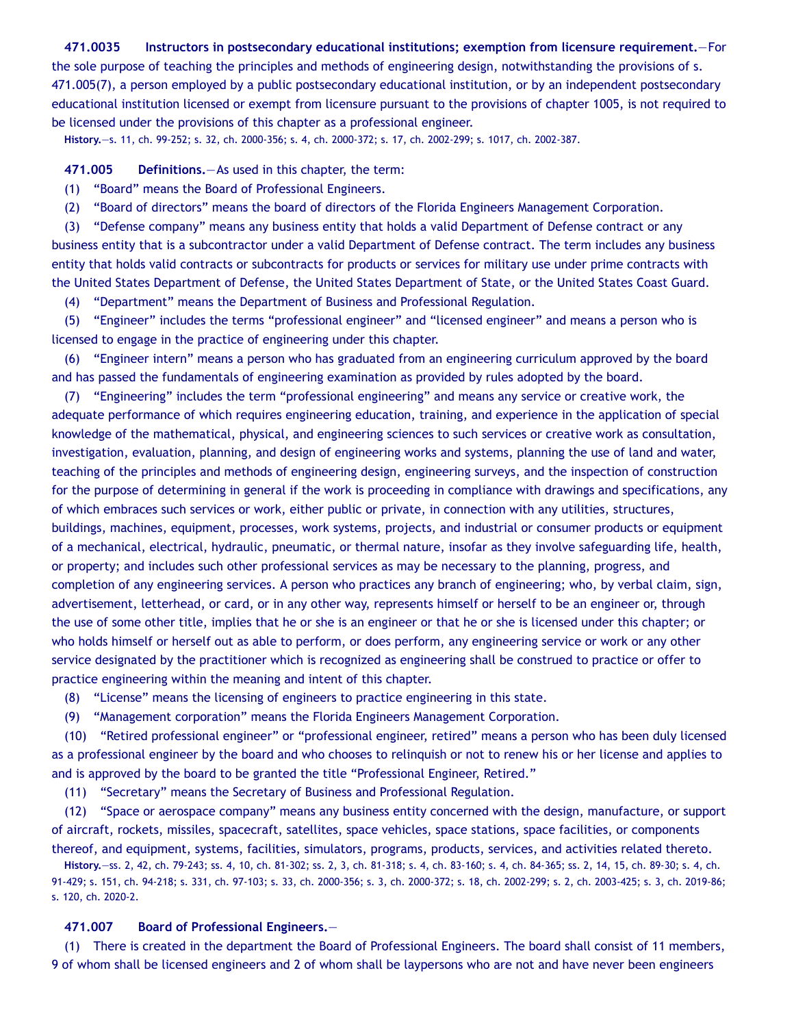## **471.0035 Instructors in postsecondary educational institutions; exemption from licensure requirement.**—For

the sole purpose of teaching the principles and methods of engineering design, notwithstanding the provisions of s. 471.005(7), a person employed by a public postsecondary educational institution, or by an independent postsecondary educational institution licensed or exempt from licensure pursuant to the provisions of chapter 1005, is not required to be licensed under the provisions of this chapter as a professional engineer.

**History.**—s. 11, ch. 99-252; s. 32, ch. 2000-356; s. 4, ch. 2000-372; s. 17, ch. 2002-299; s. 1017, ch. 2002-387.

**471.005 Definitions.**—As used in this chapter, the term:

- (1) "Board" means the Board of Professional Engineers.
- (2) "Board of directors" means the board of directors of the Florida Engineers Management Corporation.

(3) "Defense company" means any business entity that holds a valid Department of Defense contract or any business entity that is a subcontractor under a valid Department of Defense contract. The term includes any business entity that holds valid contracts or subcontracts for products or services for military use under prime contracts with the United States Department of Defense, the United States Department of State, or the United States Coast Guard.

(4) "Department" means the Department of Business and Professional Regulation.

(5) "Engineer" includes the terms "professional engineer" and "licensed engineer" and means a person who is licensed to engage in the practice of engineering under this chapter.

(6) "Engineer intern" means a person who has graduated from an engineering curriculum approved by the board and has passed the fundamentals of engineering examination as provided by rules adopted by the board.

(7) "Engineering" includes the term "professional engineering" and means any service or creative work, the adequate performance of which requires engineering education, training, and experience in the application of special knowledge of the mathematical, physical, and engineering sciences to such services or creative work as consultation, investigation, evaluation, planning, and design of engineering works and systems, planning the use of land and water, teaching of the principles and methods of engineering design, engineering surveys, and the inspection of construction for the purpose of determining in general if the work is proceeding in compliance with drawings and specifications, any of which embraces such services or work, either public or private, in connection with any utilities, structures, buildings, machines, equipment, processes, work systems, projects, and industrial or consumer products or equipment of a mechanical, electrical, hydraulic, pneumatic, or thermal nature, insofar as they involve safeguarding life, health, or property; and includes such other professional services as may be necessary to the planning, progress, and completion of any engineering services. A person who practices any branch of engineering; who, by verbal claim, sign, advertisement, letterhead, or card, or in any other way, represents himself or herself to be an engineer or, through the use of some other title, implies that he or she is an engineer or that he or she is licensed under this chapter; or who holds himself or herself out as able to perform, or does perform, any engineering service or work or any other service designated by the practitioner which is recognized as engineering shall be construed to practice or offer to practice engineering within the meaning and intent of this chapter.

(8) "License" means the licensing of engineers to practice engineering in this state.

(9) "Management corporation" means the Florida Engineers Management Corporation.

(10) "Retired professional engineer" or "professional engineer, retired" means a person who has been duly licensed as a professional engineer by the board and who chooses to relinquish or not to renew his or her license and applies to and is approved by the board to be granted the title "Professional Engineer, Retired."

(11) "Secretary" means the Secretary of Business and Professional Regulation.

(12) "Space or aerospace company" means any business entity concerned with the design, manufacture, or support of aircraft, rockets, missiles, spacecraft, satellites, space vehicles, space stations, space facilities, or components thereof, and equipment, systems, facilities, simulators, programs, products, services, and activities related thereto.

**History.**—ss. 2, 42, ch. 79-243; ss. 4, 10, ch. 81-302; ss. 2, 3, ch. 81-318; s. 4, ch. 83-160; s. 4, ch. 84-365; ss. 2, 14, 15, ch. 89-30; s. 4, ch. 91-429; s. 151, ch. 94-218; s. 331, ch. 97-103; s. 33, ch. 2000-356; s. 3, ch. 2000-372; s. 18, ch. 2002-299; s. 2, ch. 2003-425; s. 3, ch. 2019-86; s. 120, ch. 2020-2.

#### **471.007 Board of Professional Engineers.**—

(1) There is created in the department the Board of Professional Engineers. The board shall consist of 11 members, 9 of whom shall be licensed engineers and 2 of whom shall be laypersons who are not and have never been engineers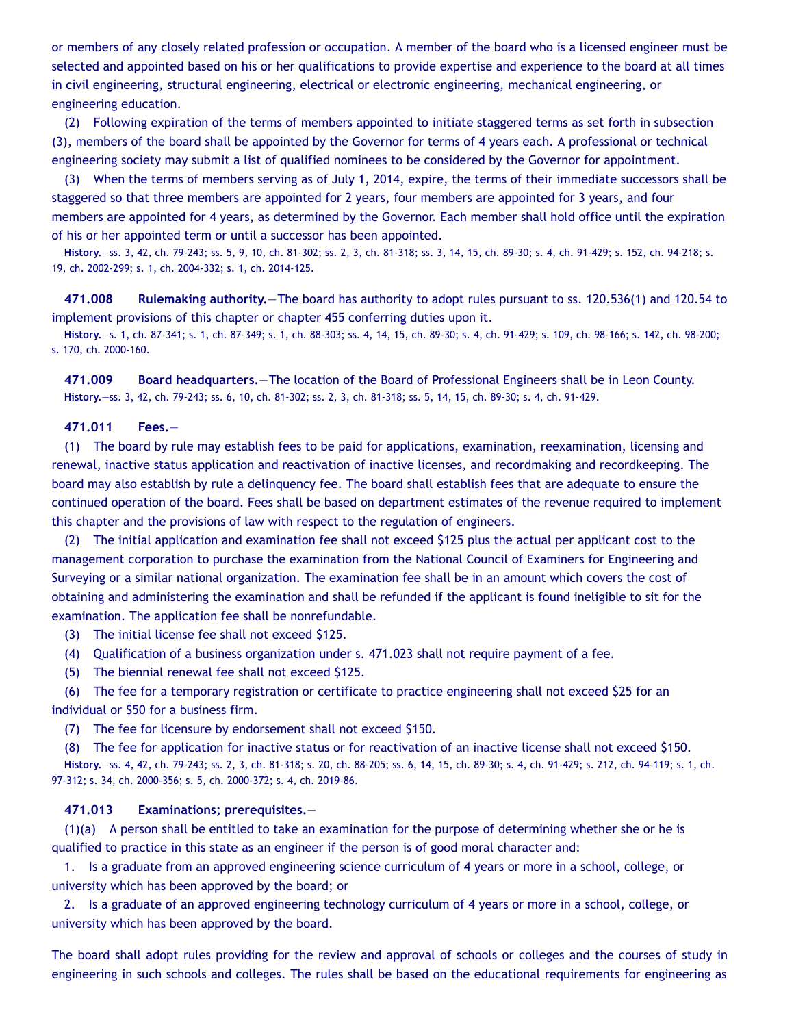or members of any closely related profession or occupation. A member of the board who is a licensed engineer must be selected and appointed based on his or her qualifications to provide expertise and experience to the board at all times in civil engineering, structural engineering, electrical or electronic engineering, mechanical engineering, or engineering education.

(2) Following expiration of the terms of members appointed to initiate staggered terms as set forth in subsection (3), members of the board shall be appointed by the Governor for terms of 4 years each. A professional or technical engineering society may submit a list of qualified nominees to be considered by the Governor for appointment.

(3) When the terms of members serving as of July 1, 2014, expire, the terms of their immediate successors shall be staggered so that three members are appointed for 2 years, four members are appointed for 3 years, and four members are appointed for 4 years, as determined by the Governor. Each member shall hold office until the expiration of his or her appointed term or until a successor has been appointed.

**History.**—ss. 3, 42, ch. 79-243; ss. 5, 9, 10, ch. 81-302; ss. 2, 3, ch. 81-318; ss. 3, 14, 15, ch. 89-30; s. 4, ch. 91-429; s. 152, ch. 94-218; s. 19, ch. 2002-299; s. 1, ch. 2004-332; s. 1, ch. 2014-125.

**471.008 Rulemaking authority.**—The board has authority to adopt rules pursuant to ss. 120.536(1) and 120.54 to implement provisions of this chapter or chapter 455 conferring duties upon it.

**History.**—s. 1, ch. 87-341; s. 1, ch. 87-349; s. 1, ch. 88-303; ss. 4, 14, 15, ch. 89-30; s. 4, ch. 91-429; s. 109, ch. 98-166; s. 142, ch. 98-200; s. 170, ch. 2000-160.

**471.009 Board headquarters.**—The location of the Board of Professional Engineers shall be in Leon County. **History.**—ss. 3, 42, ch. 79-243; ss. 6, 10, ch. 81-302; ss. 2, 3, ch. 81-318; ss. 5, 14, 15, ch. 89-30; s. 4, ch. 91-429.

## **471.011 Fees.**—

(1) The board by rule may establish fees to be paid for applications, examination, reexamination, licensing and renewal, inactive status application and reactivation of inactive licenses, and recordmaking and recordkeeping. The board may also establish by rule a delinquency fee. The board shall establish fees that are adequate to ensure the continued operation of the board. Fees shall be based on department estimates of the revenue required to implement this chapter and the provisions of law with respect to the regulation of engineers.

(2) The initial application and examination fee shall not exceed \$125 plus the actual per applicant cost to the management corporation to purchase the examination from the National Council of Examiners for Engineering and Surveying or a similar national organization. The examination fee shall be in an amount which covers the cost of obtaining and administering the examination and shall be refunded if the applicant is found ineligible to sit for the examination. The application fee shall be nonrefundable.

(3) The initial license fee shall not exceed \$125.

(4) Qualification of a business organization under s. 471.023 shall not require payment of a fee.

(5) The biennial renewal fee shall not exceed \$125.

(6) The fee for a temporary registration or certificate to practice engineering shall not exceed \$25 for an individual or \$50 for a business firm.

(7) The fee for licensure by endorsement shall not exceed \$150.

(8) The fee for application for inactive status or for reactivation of an inactive license shall not exceed \$150. **History.**—ss. 4, 42, ch. 79-243; ss. 2, 3, ch. 81-318; s. 20, ch. 88-205; ss. 6, 14, 15, ch. 89-30; s. 4, ch. 91-429; s. 212, ch. 94-119; s. 1, ch. 97-312; s. 34, ch. 2000-356; s. 5, ch. 2000-372; s. 4, ch. 2019-86.

## **471.013 Examinations; prerequisites.**—

(1)(a) A person shall be entitled to take an examination for the purpose of determining whether she or he is qualified to practice in this state as an engineer if the person is of good moral character and:

1. Is a graduate from an approved engineering science curriculum of 4 years or more in a school, college, or university which has been approved by the board; or

2. Is a graduate of an approved engineering technology curriculum of 4 years or more in a school, college, or university which has been approved by the board.

The board shall adopt rules providing for the review and approval of schools or colleges and the courses of study in engineering in such schools and colleges. The rules shall be based on the educational requirements for engineering as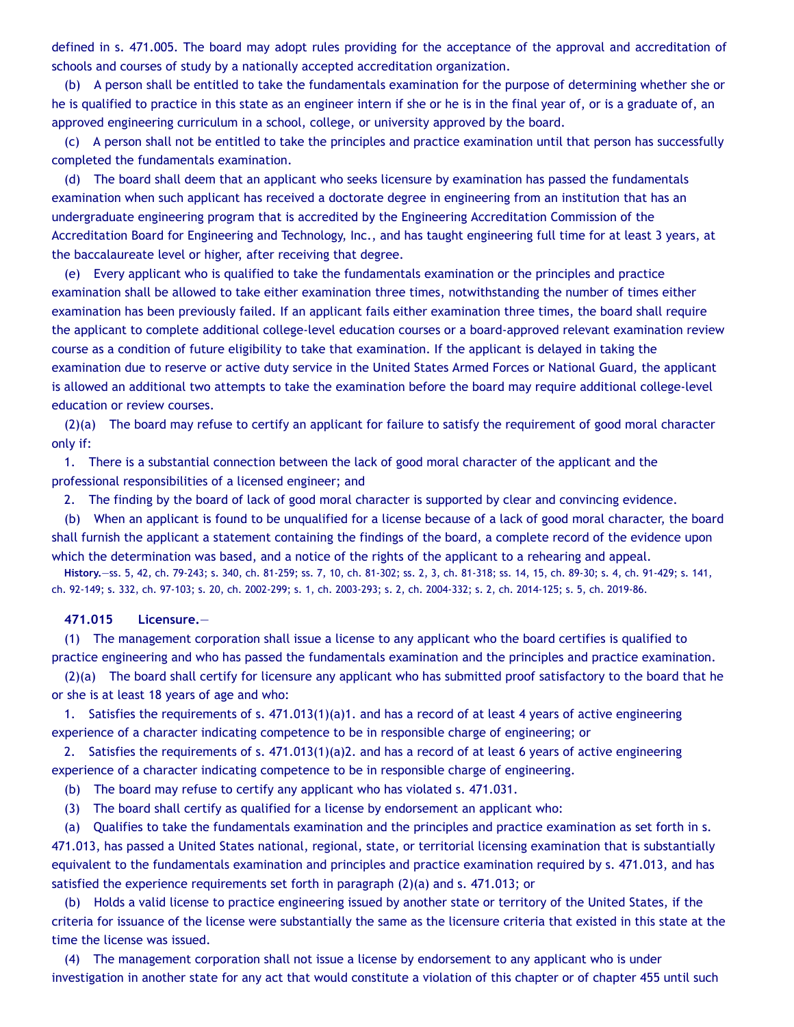defined in s. 471.005. The board may adopt rules providing for the acceptance of the approval and accreditation of schools and courses of study by a nationally accepted accreditation organization.

(b) A person shall be entitled to take the fundamentals examination for the purpose of determining whether she or he is qualified to practice in this state as an engineer intern if she or he is in the final year of, or is a graduate of, an approved engineering curriculum in a school, college, or university approved by the board.

(c) A person shall not be entitled to take the principles and practice examination until that person has successfully completed the fundamentals examination.

(d) The board shall deem that an applicant who seeks licensure by examination has passed the fundamentals examination when such applicant has received a doctorate degree in engineering from an institution that has an undergraduate engineering program that is accredited by the Engineering Accreditation Commission of the Accreditation Board for Engineering and Technology, Inc., and has taught engineering full time for at least 3 years, at the baccalaureate level or higher, after receiving that degree.

(e) Every applicant who is qualified to take the fundamentals examination or the principles and practice examination shall be allowed to take either examination three times, notwithstanding the number of times either examination has been previously failed. If an applicant fails either examination three times, the board shall require the applicant to complete additional college-level education courses or a board-approved relevant examination review course as a condition of future eligibility to take that examination. If the applicant is delayed in taking the examination due to reserve or active duty service in the United States Armed Forces or National Guard, the applicant is allowed an additional two attempts to take the examination before the board may require additional college-level education or review courses.

(2)(a) The board may refuse to certify an applicant for failure to satisfy the requirement of good moral character only if:

1. There is a substantial connection between the lack of good moral character of the applicant and the professional responsibilities of a licensed engineer; and

2. The finding by the board of lack of good moral character is supported by clear and convincing evidence.

(b) When an applicant is found to be unqualified for a license because of a lack of good moral character, the board shall furnish the applicant a statement containing the findings of the board, a complete record of the evidence upon which the determination was based, and a notice of the rights of the applicant to a rehearing and appeal.

**History.**—ss. 5, 42, ch. 79-243; s. 340, ch. 81-259; ss. 7, 10, ch. 81-302; ss. 2, 3, ch. 81-318; ss. 14, 15, ch. 89-30; s. 4, ch. 91-429; s. 141, ch. 92-149; s. 332, ch. 97-103; s. 20, ch. 2002-299; s. 1, ch. 2003-293; s. 2, ch. 2004-332; s. 2, ch. 2014-125; s. 5, ch. 2019-86.

## **471.015 Licensure.**—

(1) The management corporation shall issue a license to any applicant who the board certifies is qualified to practice engineering and who has passed the fundamentals examination and the principles and practice examination.

(2)(a) The board shall certify for licensure any applicant who has submitted proof satisfactory to the board that he or she is at least 18 years of age and who:

1. Satisfies the requirements of s. 471.013(1)(a)1. and has a record of at least 4 years of active engineering experience of a character indicating competence to be in responsible charge of engineering; or

2. Satisfies the requirements of s. 471.013(1)(a)2. and has a record of at least 6 years of active engineering experience of a character indicating competence to be in responsible charge of engineering.

(b) The board may refuse to certify any applicant who has violated s. 471.031.

(3) The board shall certify as qualified for a license by endorsement an applicant who:

(a) Qualifies to take the fundamentals examination and the principles and practice examination as set forth in s. 471.013, has passed a United States national, regional, state, or territorial licensing examination that is substantially equivalent to the fundamentals examination and principles and practice examination required by s. 471.013, and has satisfied the experience requirements set forth in paragraph (2)(a) and s. 471.013; or

(b) Holds a valid license to practice engineering issued by another state or territory of the United States, if the criteria for issuance of the license were substantially the same as the licensure criteria that existed in this state at the time the license was issued.

(4) The management corporation shall not issue a license by endorsement to any applicant who is under investigation in another state for any act that would constitute a violation of this chapter or of chapter 455 until such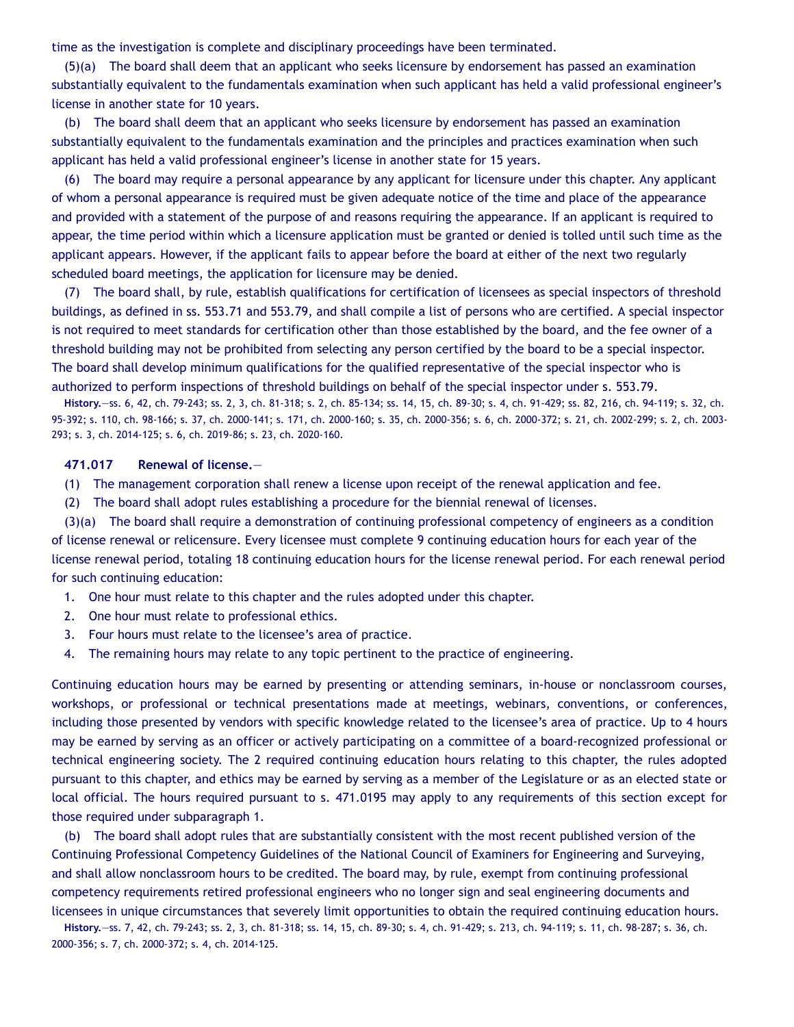time as the investigation is complete and disciplinary proceedings have been terminated.

(5)(a) The board shall deem that an applicant who seeks licensure by endorsement has passed an examination substantially equivalent to the fundamentals examination when such applicant has held a valid professional engineer's license in another state for 10 years.

(b) The board shall deem that an applicant who seeks licensure by endorsement has passed an examination substantially equivalent to the fundamentals examination and the principles and practices examination when such applicant has held a valid professional engineer's license in another state for 15 years.

(6) The board may require a personal appearance by any applicant for licensure under this chapter. Any applicant of whom a personal appearance is required must be given adequate notice of the time and place of the appearance and provided with a statement of the purpose of and reasons requiring the appearance. If an applicant is required to appear, the time period within which a licensure application must be granted or denied is tolled until such time as the applicant appears. However, if the applicant fails to appear before the board at either of the next two regularly scheduled board meetings, the application for licensure may be denied.

(7) The board shall, by rule, establish qualifications for certification of licensees as special inspectors of threshold buildings, as defined in ss. 553.71 and 553.79, and shall compile a list of persons who are certified. A special inspector is not required to meet standards for certification other than those established by the board, and the fee owner of a threshold building may not be prohibited from selecting any person certified by the board to be a special inspector. The board shall develop minimum qualifications for the qualified representative of the special inspector who is authorized to perform inspections of threshold buildings on behalf of the special inspector under s. 553.79.

**History.**—ss. 6, 42, ch. 79-243; ss. 2, 3, ch. 81-318; s. 2, ch. 85-134; ss. 14, 15, ch. 89-30; s. 4, ch. 91-429; ss. 82, 216, ch. 94-119; s. 32, ch. 95-392; s. 110, ch. 98-166; s. 37, ch. 2000-141; s. 171, ch. 2000-160; s. 35, ch. 2000-356; s. 6, ch. 2000-372; s. 21, ch. 2002-299; s. 2, ch. 2003- 293; s. 3, ch. 2014-125; s. 6, ch. 2019-86; s. 23, ch. 2020-160.

#### **471.017 Renewal of license.**—

- (1) The management corporation shall renew a license upon receipt of the renewal application and fee.
- (2) The board shall adopt rules establishing a procedure for the biennial renewal of licenses.

(3)(a) The board shall require a demonstration of continuing professional competency of engineers as a condition of license renewal or relicensure. Every licensee must complete 9 continuing education hours for each year of the license renewal period, totaling 18 continuing education hours for the license renewal period. For each renewal period for such continuing education:

- 1. One hour must relate to this chapter and the rules adopted under this chapter.
- 2. One hour must relate to professional ethics.
- 3. Four hours must relate to the licensee's area of practice.
- 4. The remaining hours may relate to any topic pertinent to the practice of engineering.

Continuing education hours may be earned by presenting or attending seminars, in-house or nonclassroom courses, workshops, or professional or technical presentations made at meetings, webinars, conventions, or conferences, including those presented by vendors with specific knowledge related to the licensee's area of practice. Up to 4 hours may be earned by serving as an officer or actively participating on a committee of a board-recognized professional or technical engineering society. The 2 required continuing education hours relating to this chapter, the rules adopted pursuant to this chapter, and ethics may be earned by serving as a member of the Legislature or as an elected state or local official. The hours required pursuant to s. 471.0195 may apply to any requirements of this section except for those required under subparagraph 1.

(b) The board shall adopt rules that are substantially consistent with the most recent published version of the Continuing Professional Competency Guidelines of the National Council of Examiners for Engineering and Surveying, and shall allow nonclassroom hours to be credited. The board may, by rule, exempt from continuing professional competency requirements retired professional engineers who no longer sign and seal engineering documents and licensees in unique circumstances that severely limit opportunities to obtain the required continuing education hours.

**History.**—ss. 7, 42, ch. 79-243; ss. 2, 3, ch. 81-318; ss. 14, 15, ch. 89-30; s. 4, ch. 91-429; s. 213, ch. 94-119; s. 11, ch. 98-287; s. 36, ch. 2000-356; s. 7, ch. 2000-372; s. 4, ch. 2014-125.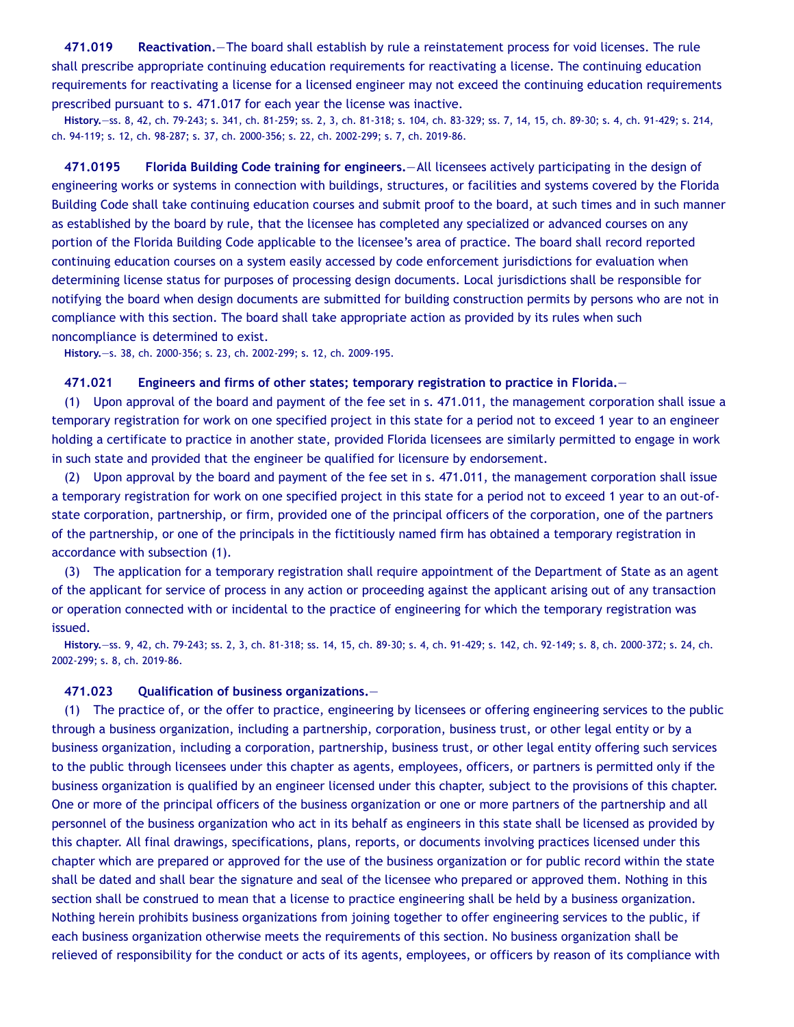**471.019 Reactivation.**—The board shall establish by rule a reinstatement process for void licenses. The rule shall prescribe appropriate continuing education requirements for reactivating a license. The continuing education requirements for reactivating a license for a licensed engineer may not exceed the continuing education requirements prescribed pursuant to s. 471.017 for each year the license was inactive.

**History.**—ss. 8, 42, ch. 79-243; s. 341, ch. 81-259; ss. 2, 3, ch. 81-318; s. 104, ch. 83-329; ss. 7, 14, 15, ch. 89-30; s. 4, ch. 91-429; s. 214, ch. 94-119; s. 12, ch. 98-287; s. 37, ch. 2000-356; s. 22, ch. 2002-299; s. 7, ch. 2019-86.

**471.0195 Florida Building Code training for engineers.**—All licensees actively participating in the design of engineering works or systems in connection with buildings, structures, or facilities and systems covered by the Florida Building Code shall take continuing education courses and submit proof to the board, at such times and in such manner as established by the board by rule, that the licensee has completed any specialized or advanced courses on any portion of the Florida Building Code applicable to the licensee's area of practice. The board shall record reported continuing education courses on a system easily accessed by code enforcement jurisdictions for evaluation when determining license status for purposes of processing design documents. Local jurisdictions shall be responsible for notifying the board when design documents are submitted for building construction permits by persons who are not in compliance with this section. The board shall take appropriate action as provided by its rules when such noncompliance is determined to exist.

**History.**—s. 38, ch. 2000-356; s. 23, ch. 2002-299; s. 12, ch. 2009-195.

#### **471.021 Engineers and firms of other states; temporary registration to practice in Florida.**—

(1) Upon approval of the board and payment of the fee set in s. 471.011, the management corporation shall issue a temporary registration for work on one specified project in this state for a period not to exceed 1 year to an engineer holding a certificate to practice in another state, provided Florida licensees are similarly permitted to engage in work in such state and provided that the engineer be qualified for licensure by endorsement.

(2) Upon approval by the board and payment of the fee set in s. 471.011, the management corporation shall issue a temporary registration for work on one specified project in this state for a period not to exceed 1 year to an out-ofstate corporation, partnership, or firm, provided one of the principal officers of the corporation, one of the partners of the partnership, or one of the principals in the fictitiously named firm has obtained a temporary registration in accordance with subsection (1).

(3) The application for a temporary registration shall require appointment of the Department of State as an agent of the applicant for service of process in any action or proceeding against the applicant arising out of any transaction or operation connected with or incidental to the practice of engineering for which the temporary registration was issued.

**History.**—ss. 9, 42, ch. 79-243; ss. 2, 3, ch. 81-318; ss. 14, 15, ch. 89-30; s. 4, ch. 91-429; s. 142, ch. 92-149; s. 8, ch. 2000-372; s. 24, ch. 2002-299; s. 8, ch. 2019-86.

#### **471.023 Qualification of business organizations.**—

(1) The practice of, or the offer to practice, engineering by licensees or offering engineering services to the public through a business organization, including a partnership, corporation, business trust, or other legal entity or by a business organization, including a corporation, partnership, business trust, or other legal entity offering such services to the public through licensees under this chapter as agents, employees, officers, or partners is permitted only if the business organization is qualified by an engineer licensed under this chapter, subject to the provisions of this chapter. One or more of the principal officers of the business organization or one or more partners of the partnership and all personnel of the business organization who act in its behalf as engineers in this state shall be licensed as provided by this chapter. All final drawings, specifications, plans, reports, or documents involving practices licensed under this chapter which are prepared or approved for the use of the business organization or for public record within the state shall be dated and shall bear the signature and seal of the licensee who prepared or approved them. Nothing in this section shall be construed to mean that a license to practice engineering shall be held by a business organization. Nothing herein prohibits business organizations from joining together to offer engineering services to the public, if each business organization otherwise meets the requirements of this section. No business organization shall be relieved of responsibility for the conduct or acts of its agents, employees, or officers by reason of its compliance with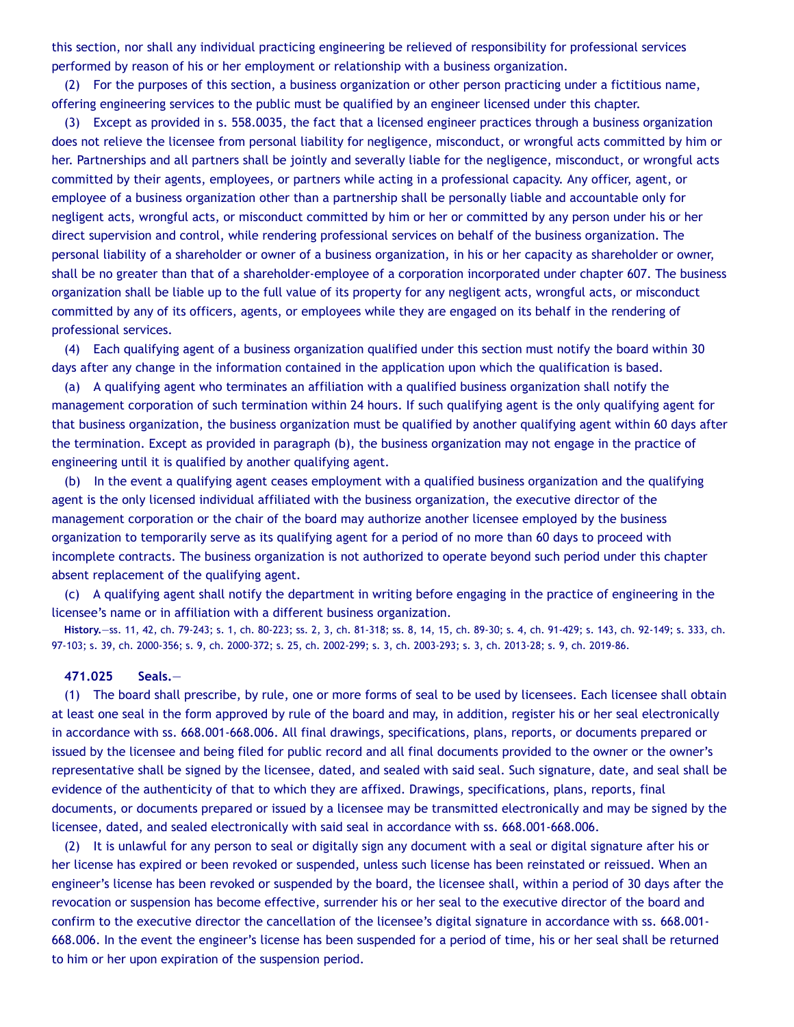this section, nor shall any individual practicing engineering be relieved of responsibility for professional services performed by reason of his or her employment or relationship with a business organization.

(2) For the purposes of this section, a business organization or other person practicing under a fictitious name, offering engineering services to the public must be qualified by an engineer licensed under this chapter.

(3) Except as provided in s. 558.0035, the fact that a licensed engineer practices through a business organization does not relieve the licensee from personal liability for negligence, misconduct, or wrongful acts committed by him or her. Partnerships and all partners shall be jointly and severally liable for the negligence, misconduct, or wrongful acts committed by their agents, employees, or partners while acting in a professional capacity. Any officer, agent, or employee of a business organization other than a partnership shall be personally liable and accountable only for negligent acts, wrongful acts, or misconduct committed by him or her or committed by any person under his or her direct supervision and control, while rendering professional services on behalf of the business organization. The personal liability of a shareholder or owner of a business organization, in his or her capacity as shareholder or owner, shall be no greater than that of a shareholder-employee of a corporation incorporated under chapter 607. The business organization shall be liable up to the full value of its property for any negligent acts, wrongful acts, or misconduct committed by any of its officers, agents, or employees while they are engaged on its behalf in the rendering of professional services.

(4) Each qualifying agent of a business organization qualified under this section must notify the board within 30 days after any change in the information contained in the application upon which the qualification is based.

(a) A qualifying agent who terminates an affiliation with a qualified business organization shall notify the management corporation of such termination within 24 hours. If such qualifying agent is the only qualifying agent for that business organization, the business organization must be qualified by another qualifying agent within 60 days after the termination. Except as provided in paragraph (b), the business organization may not engage in the practice of engineering until it is qualified by another qualifying agent.

(b) In the event a qualifying agent ceases employment with a qualified business organization and the qualifying agent is the only licensed individual affiliated with the business organization, the executive director of the management corporation or the chair of the board may authorize another licensee employed by the business organization to temporarily serve as its qualifying agent for a period of no more than 60 days to proceed with incomplete contracts. The business organization is not authorized to operate beyond such period under this chapter absent replacement of the qualifying agent.

(c) A qualifying agent shall notify the department in writing before engaging in the practice of engineering in the licensee's name or in affiliation with a different business organization.

**History.**—ss. 11, 42, ch. 79-243; s. 1, ch. 80-223; ss. 2, 3, ch. 81-318; ss. 8, 14, 15, ch. 89-30; s. 4, ch. 91-429; s. 143, ch. 92-149; s. 333, ch. 97-103; s. 39, ch. 2000-356; s. 9, ch. 2000-372; s. 25, ch. 2002-299; s. 3, ch. 2003-293; s. 3, ch. 2013-28; s. 9, ch. 2019-86.

#### **471.025 Seals.**—

(1) The board shall prescribe, by rule, one or more forms of seal to be used by licensees. Each licensee shall obtain at least one seal in the form approved by rule of the board and may, in addition, register his or her seal electronically in accordance with ss. 668.001-668.006. All final drawings, specifications, plans, reports, or documents prepared or issued by the licensee and being filed for public record and all final documents provided to the owner or the owner's representative shall be signed by the licensee, dated, and sealed with said seal. Such signature, date, and seal shall be evidence of the authenticity of that to which they are affixed. Drawings, specifications, plans, reports, final documents, or documents prepared or issued by a licensee may be transmitted electronically and may be signed by the licensee, dated, and sealed electronically with said seal in accordance with ss. 668.001-668.006.

(2) It is unlawful for any person to seal or digitally sign any document with a seal or digital signature after his or her license has expired or been revoked or suspended, unless such license has been reinstated or reissued. When an engineer's license has been revoked or suspended by the board, the licensee shall, within a period of 30 days after the revocation or suspension has become effective, surrender his or her seal to the executive director of the board and confirm to the executive director the cancellation of the licensee's digital signature in accordance with ss. 668.001- 668.006. In the event the engineer's license has been suspended for a period of time, his or her seal shall be returned to him or her upon expiration of the suspension period.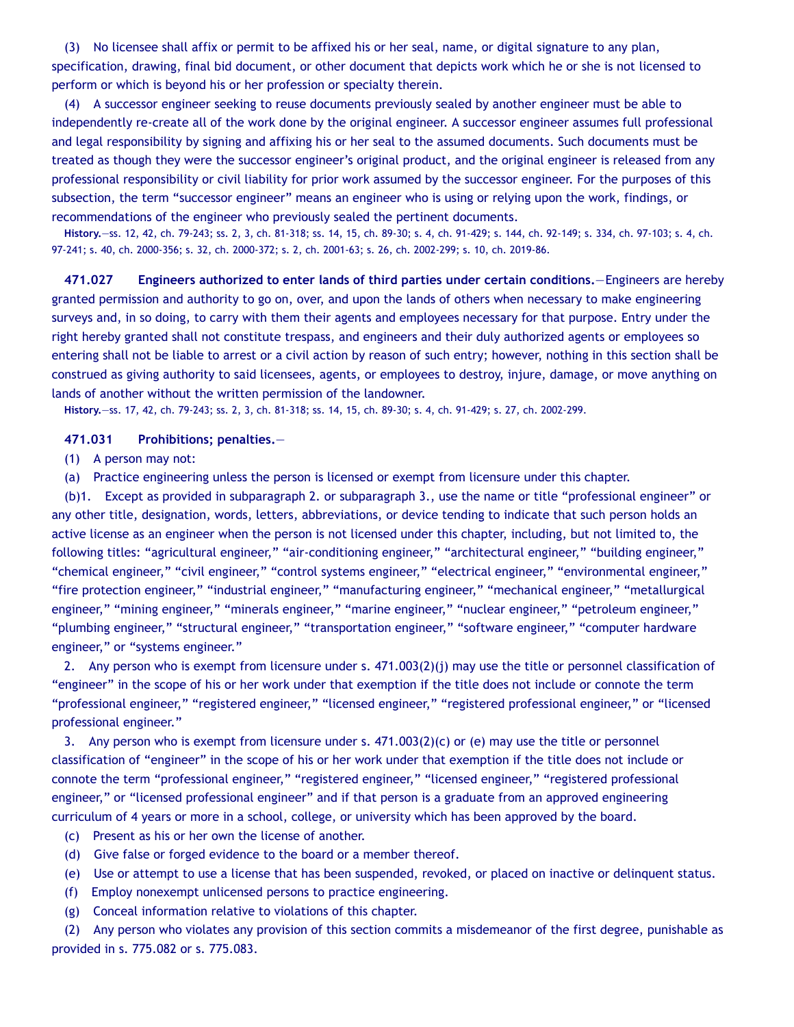(3) No licensee shall affix or permit to be affixed his or her seal, name, or digital signature to any plan, specification, drawing, final bid document, or other document that depicts work which he or she is not licensed to perform or which is beyond his or her profession or specialty therein.

(4) A successor engineer seeking to reuse documents previously sealed by another engineer must be able to independently re-create all of the work done by the original engineer. A successor engineer assumes full professional and legal responsibility by signing and affixing his or her seal to the assumed documents. Such documents must be treated as though they were the successor engineer's original product, and the original engineer is released from any professional responsibility or civil liability for prior work assumed by the successor engineer. For the purposes of this subsection, the term "successor engineer" means an engineer who is using or relying upon the work, findings, or recommendations of the engineer who previously sealed the pertinent documents.

**History.**—ss. 12, 42, ch. 79-243; ss. 2, 3, ch. 81-318; ss. 14, 15, ch. 89-30; s. 4, ch. 91-429; s. 144, ch. 92-149; s. 334, ch. 97-103; s. 4, ch. 97-241; s. 40, ch. 2000-356; s. 32, ch. 2000-372; s. 2, ch. 2001-63; s. 26, ch. 2002-299; s. 10, ch. 2019-86.

**471.027 Engineers authorized to enter lands of third parties under certain conditions.**—Engineers are hereby granted permission and authority to go on, over, and upon the lands of others when necessary to make engineering surveys and, in so doing, to carry with them their agents and employees necessary for that purpose. Entry under the right hereby granted shall not constitute trespass, and engineers and their duly authorized agents or employees so entering shall not be liable to arrest or a civil action by reason of such entry; however, nothing in this section shall be construed as giving authority to said licensees, agents, or employees to destroy, injure, damage, or move anything on lands of another without the written permission of the landowner.

**History.**—ss. 17, 42, ch. 79-243; ss. 2, 3, ch. 81-318; ss. 14, 15, ch. 89-30; s. 4, ch. 91-429; s. 27, ch. 2002-299.

## **471.031 Prohibitions; penalties.**—

(1) A person may not:

(a) Practice engineering unless the person is licensed or exempt from licensure under this chapter.

(b)1. Except as provided in subparagraph 2. or subparagraph 3., use the name or title "professional engineer" or any other title, designation, words, letters, abbreviations, or device tending to indicate that such person holds an active license as an engineer when the person is not licensed under this chapter, including, but not limited to, the following titles: "agricultural engineer," "air-conditioning engineer," "architectural engineer," "building engineer," "chemical engineer," "civil engineer," "control systems engineer," "electrical engineer," "environmental engineer," "fire protection engineer," "industrial engineer," "manufacturing engineer," "mechanical engineer," "metallurgical engineer," "mining engineer," "minerals engineer," "marine engineer," "nuclear engineer," "petroleum engineer," "plumbing engineer," "structural engineer," "transportation engineer," "software engineer," "computer hardware engineer," or "systems engineer."

2. Any person who is exempt from licensure under s. 471.003(2)(j) may use the title or personnel classification of "engineer" in the scope of his or her work under that exemption if the title does not include or connote the term "professional engineer," "registered engineer," "licensed engineer," "registered professional engineer," or "licensed professional engineer."

3. Any person who is exempt from licensure under s. 471.003(2)(c) or (e) may use the title or personnel classification of "engineer" in the scope of his or her work under that exemption if the title does not include or connote the term "professional engineer," "registered engineer," "licensed engineer," "registered professional engineer," or "licensed professional engineer" and if that person is a graduate from an approved engineering curriculum of 4 years or more in a school, college, or university which has been approved by the board.

- (c) Present as his or her own the license of another.
- (d) Give false or forged evidence to the board or a member thereof.
- (e) Use or attempt to use a license that has been suspended, revoked, or placed on inactive or delinquent status.
- (f) Employ nonexempt unlicensed persons to practice engineering.
- (g) Conceal information relative to violations of this chapter.

(2) Any person who violates any provision of this section commits a misdemeanor of the first degree, punishable as provided in s. 775.082 or s. 775.083.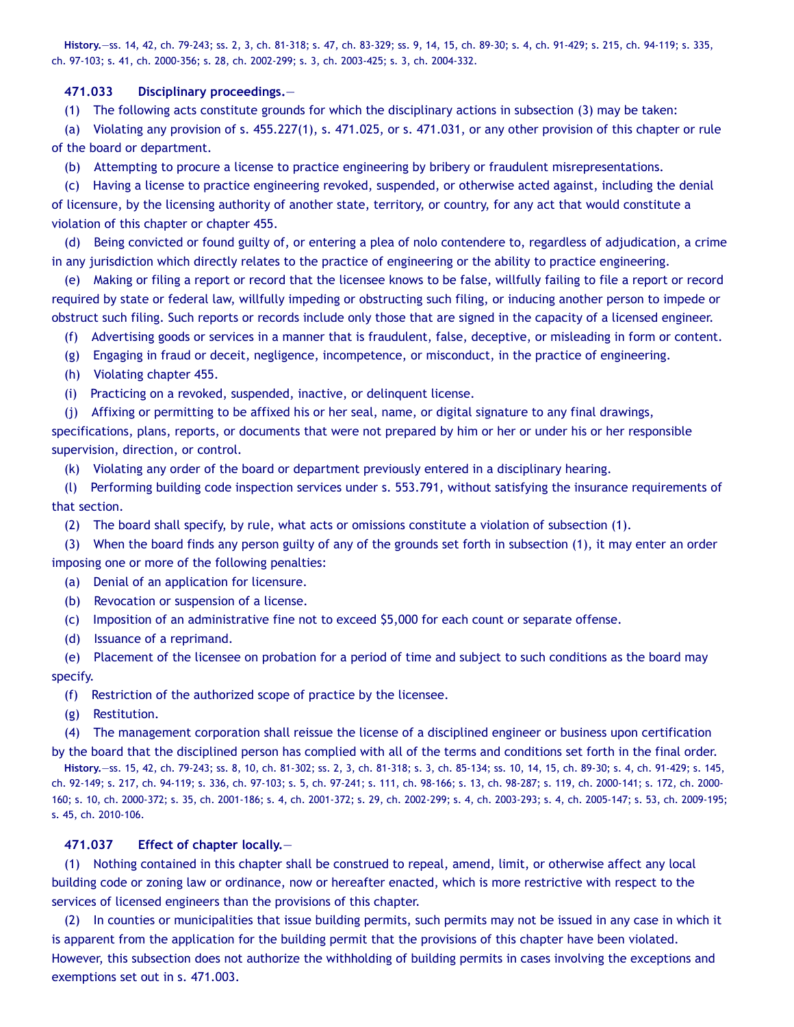**History.**—ss. 14, 42, ch. 79-243; ss. 2, 3, ch. 81-318; s. 47, ch. 83-329; ss. 9, 14, 15, ch. 89-30; s. 4, ch. 91-429; s. 215, ch. 94-119; s. 335, ch. 97-103; s. 41, ch. 2000-356; s. 28, ch. 2002-299; s. 3, ch. 2003-425; s. 3, ch. 2004-332.

## **471.033 Disciplinary proceedings.**—

(1) The following acts constitute grounds for which the disciplinary actions in subsection (3) may be taken:

(a) Violating any provision of s. 455.227(1), s. 471.025, or s. 471.031, or any other provision of this chapter or rule of the board or department.

(b) Attempting to procure a license to practice engineering by bribery or fraudulent misrepresentations.

(c) Having a license to practice engineering revoked, suspended, or otherwise acted against, including the denial of licensure, by the licensing authority of another state, territory, or country, for any act that would constitute a violation of this chapter or chapter 455.

(d) Being convicted or found guilty of, or entering a plea of nolo contendere to, regardless of adjudication, a crime in any jurisdiction which directly relates to the practice of engineering or the ability to practice engineering.

(e) Making or filing a report or record that the licensee knows to be false, willfully failing to file a report or record required by state or federal law, willfully impeding or obstructing such filing, or inducing another person to impede or obstruct such filing. Such reports or records include only those that are signed in the capacity of a licensed engineer.

(f) Advertising goods or services in a manner that is fraudulent, false, deceptive, or misleading in form or content.

- (g) Engaging in fraud or deceit, negligence, incompetence, or misconduct, in the practice of engineering.
- (h) Violating chapter 455.

(i) Practicing on a revoked, suspended, inactive, or delinquent license.

(j) Affixing or permitting to be affixed his or her seal, name, or digital signature to any final drawings,

specifications, plans, reports, or documents that were not prepared by him or her or under his or her responsible supervision, direction, or control.

(k) Violating any order of the board or department previously entered in a disciplinary hearing.

(l) Performing building code inspection services under s. 553.791, without satisfying the insurance requirements of that section.

(2) The board shall specify, by rule, what acts or omissions constitute a violation of subsection (1).

(3) When the board finds any person guilty of any of the grounds set forth in subsection (1), it may enter an order imposing one or more of the following penalties:

- (a) Denial of an application for licensure.
- (b) Revocation or suspension of a license.

(c) Imposition of an administrative fine not to exceed \$5,000 for each count or separate offense.

(d) Issuance of a reprimand.

(e) Placement of the licensee on probation for a period of time and subject to such conditions as the board may specify.

(f) Restriction of the authorized scope of practice by the licensee.

(g) Restitution.

(4) The management corporation shall reissue the license of a disciplined engineer or business upon certification by the board that the disciplined person has complied with all of the terms and conditions set forth in the final order.

**History.**—ss. 15, 42, ch. 79-243; ss. 8, 10, ch. 81-302; ss. 2, 3, ch. 81-318; s. 3, ch. 85-134; ss. 10, 14, 15, ch. 89-30; s. 4, ch. 91-429; s. 145, ch. 92-149; s. 217, ch. 94-119; s. 336, ch. 97-103; s. 5, ch. 97-241; s. 111, ch. 98-166; s. 13, ch. 98-287; s. 119, ch. 2000-141; s. 172, ch. 2000- 160; s. 10, ch. 2000-372; s. 35, ch. 2001-186; s. 4, ch. 2001-372; s. 29, ch. 2002-299; s. 4, ch. 2003-293; s. 4, ch. 2005-147; s. 53, ch. 2009-195; s. 45, ch. 2010-106.

# **471.037 Effect of chapter locally.**—

(1) Nothing contained in this chapter shall be construed to repeal, amend, limit, or otherwise affect any local building code or zoning law or ordinance, now or hereafter enacted, which is more restrictive with respect to the services of licensed engineers than the provisions of this chapter.

(2) In counties or municipalities that issue building permits, such permits may not be issued in any case in which it is apparent from the application for the building permit that the provisions of this chapter have been violated. However, this subsection does not authorize the withholding of building permits in cases involving the exceptions and exemptions set out in s. 471.003.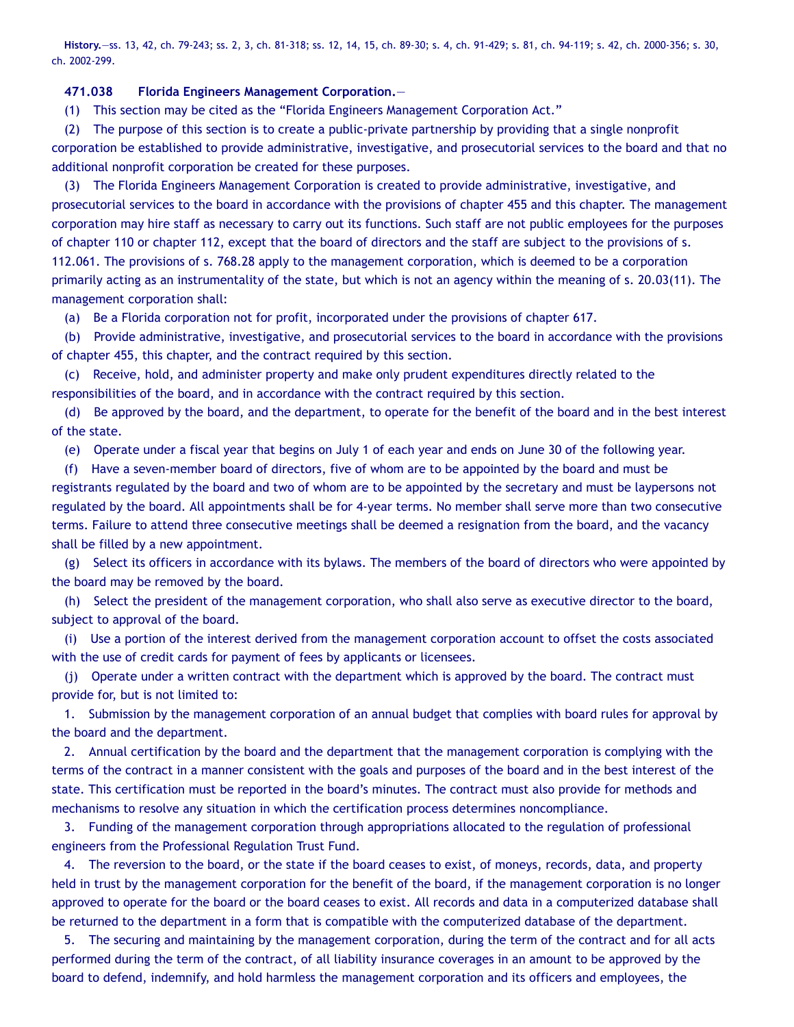**History.**—ss. 13, 42, ch. 79-243; ss. 2, 3, ch. 81-318; ss. 12, 14, 15, ch. 89-30; s. 4, ch. 91-429; s. 81, ch. 94-119; s. 42, ch. 2000-356; s. 30, ch. 2002-299.

## **471.038 Florida Engineers Management Corporation.**—

(1) This section may be cited as the "Florida Engineers Management Corporation Act."

(2) The purpose of this section is to create a public-private partnership by providing that a single nonprofit corporation be established to provide administrative, investigative, and prosecutorial services to the board and that no additional nonprofit corporation be created for these purposes.

(3) The Florida Engineers Management Corporation is created to provide administrative, investigative, and prosecutorial services to the board in accordance with the provisions of chapter 455 and this chapter. The management corporation may hire staff as necessary to carry out its functions. Such staff are not public employees for the purposes of chapter 110 or chapter 112, except that the board of directors and the staff are subject to the provisions of s. 112.061. The provisions of s. 768.28 apply to the management corporation, which is deemed to be a corporation primarily acting as an instrumentality of the state, but which is not an agency within the meaning of s. 20.03(11). The management corporation shall:

(a) Be a Florida corporation not for profit, incorporated under the provisions of chapter 617.

(b) Provide administrative, investigative, and prosecutorial services to the board in accordance with the provisions of chapter 455, this chapter, and the contract required by this section.

(c) Receive, hold, and administer property and make only prudent expenditures directly related to the responsibilities of the board, and in accordance with the contract required by this section.

(d) Be approved by the board, and the department, to operate for the benefit of the board and in the best interest of the state.

(e) Operate under a fiscal year that begins on July 1 of each year and ends on June 30 of the following year.

(f) Have a seven-member board of directors, five of whom are to be appointed by the board and must be registrants regulated by the board and two of whom are to be appointed by the secretary and must be laypersons not regulated by the board. All appointments shall be for 4-year terms. No member shall serve more than two consecutive terms. Failure to attend three consecutive meetings shall be deemed a resignation from the board, and the vacancy shall be filled by a new appointment.

(g) Select its officers in accordance with its bylaws. The members of the board of directors who were appointed by the board may be removed by the board.

(h) Select the president of the management corporation, who shall also serve as executive director to the board, subject to approval of the board.

(i) Use a portion of the interest derived from the management corporation account to offset the costs associated with the use of credit cards for payment of fees by applicants or licensees.

(j) Operate under a written contract with the department which is approved by the board. The contract must provide for, but is not limited to:

1. Submission by the management corporation of an annual budget that complies with board rules for approval by the board and the department.

2. Annual certification by the board and the department that the management corporation is complying with the terms of the contract in a manner consistent with the goals and purposes of the board and in the best interest of the state. This certification must be reported in the board's minutes. The contract must also provide for methods and mechanisms to resolve any situation in which the certification process determines noncompliance.

3. Funding of the management corporation through appropriations allocated to the regulation of professional engineers from the Professional Regulation Trust Fund.

4. The reversion to the board, or the state if the board ceases to exist, of moneys, records, data, and property held in trust by the management corporation for the benefit of the board, if the management corporation is no longer approved to operate for the board or the board ceases to exist. All records and data in a computerized database shall be returned to the department in a form that is compatible with the computerized database of the department.

5. The securing and maintaining by the management corporation, during the term of the contract and for all acts performed during the term of the contract, of all liability insurance coverages in an amount to be approved by the board to defend, indemnify, and hold harmless the management corporation and its officers and employees, the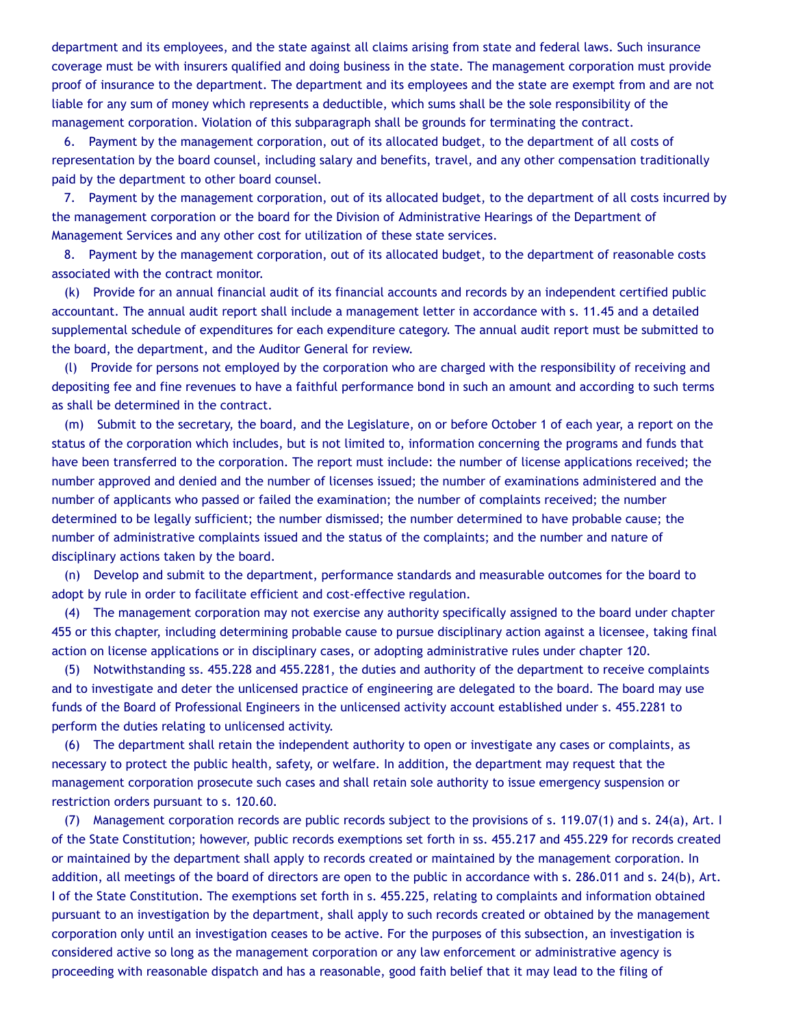department and its employees, and the state against all claims arising from state and federal laws. Such insurance coverage must be with insurers qualified and doing business in the state. The management corporation must provide proof of insurance to the department. The department and its employees and the state are exempt from and are not liable for any sum of money which represents a deductible, which sums shall be the sole responsibility of the management corporation. Violation of this subparagraph shall be grounds for terminating the contract.

6. Payment by the management corporation, out of its allocated budget, to the department of all costs of representation by the board counsel, including salary and benefits, travel, and any other compensation traditionally paid by the department to other board counsel.

7. Payment by the management corporation, out of its allocated budget, to the department of all costs incurred by the management corporation or the board for the Division of Administrative Hearings of the Department of Management Services and any other cost for utilization of these state services.

8. Payment by the management corporation, out of its allocated budget, to the department of reasonable costs associated with the contract monitor.

(k) Provide for an annual financial audit of its financial accounts and records by an independent certified public accountant. The annual audit report shall include a management letter in accordance with s. 11.45 and a detailed supplemental schedule of expenditures for each expenditure category. The annual audit report must be submitted to the board, the department, and the Auditor General for review.

(l) Provide for persons not employed by the corporation who are charged with the responsibility of receiving and depositing fee and fine revenues to have a faithful performance bond in such an amount and according to such terms as shall be determined in the contract.

(m) Submit to the secretary, the board, and the Legislature, on or before October 1 of each year, a report on the status of the corporation which includes, but is not limited to, information concerning the programs and funds that have been transferred to the corporation. The report must include: the number of license applications received; the number approved and denied and the number of licenses issued; the number of examinations administered and the number of applicants who passed or failed the examination; the number of complaints received; the number determined to be legally sufficient; the number dismissed; the number determined to have probable cause; the number of administrative complaints issued and the status of the complaints; and the number and nature of disciplinary actions taken by the board.

(n) Develop and submit to the department, performance standards and measurable outcomes for the board to adopt by rule in order to facilitate efficient and cost-effective regulation.

(4) The management corporation may not exercise any authority specifically assigned to the board under chapter 455 or this chapter, including determining probable cause to pursue disciplinary action against a licensee, taking final action on license applications or in disciplinary cases, or adopting administrative rules under chapter 120.

(5) Notwithstanding ss. 455.228 and 455.2281, the duties and authority of the department to receive complaints and to investigate and deter the unlicensed practice of engineering are delegated to the board. The board may use funds of the Board of Professional Engineers in the unlicensed activity account established under s. 455.2281 to perform the duties relating to unlicensed activity.

(6) The department shall retain the independent authority to open or investigate any cases or complaints, as necessary to protect the public health, safety, or welfare. In addition, the department may request that the management corporation prosecute such cases and shall retain sole authority to issue emergency suspension or restriction orders pursuant to s. 120.60.

(7) Management corporation records are public records subject to the provisions of s. 119.07(1) and s. 24(a), Art. I of the State Constitution; however, public records exemptions set forth in ss. 455.217 and 455.229 for records created or maintained by the department shall apply to records created or maintained by the management corporation. In addition, all meetings of the board of directors are open to the public in accordance with s. 286.011 and s. 24(b), Art. I of the State Constitution. The exemptions set forth in s. 455.225, relating to complaints and information obtained pursuant to an investigation by the department, shall apply to such records created or obtained by the management corporation only until an investigation ceases to be active. For the purposes of this subsection, an investigation is considered active so long as the management corporation or any law enforcement or administrative agency is proceeding with reasonable dispatch and has a reasonable, good faith belief that it may lead to the filing of